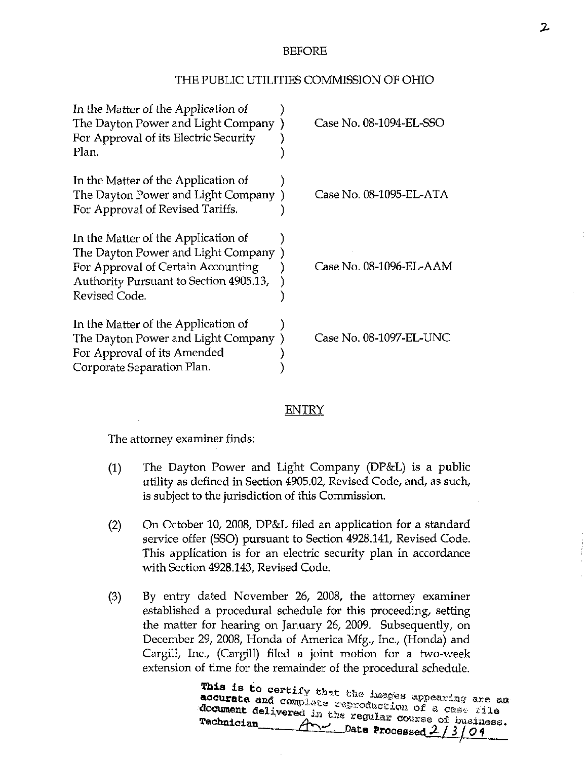## BEFORE

## THE PUBLIC UTILITIES COMMISSION OF OHIO

| In the Matter of the Application of<br>The Dayton Power and Light Company<br>For Approval of its Electric Security<br>Plan.                                                | Case No. 08-1094-EL-SSO |
|----------------------------------------------------------------------------------------------------------------------------------------------------------------------------|-------------------------|
| In the Matter of the Application of<br>The Dayton Power and Light Company<br>For Approval of Revised Tariffs.                                                              | Case No. 08-1095-EL-ATA |
| In the Matter of the Application of<br>The Dayton Power and Light Company<br>For Approval of Certain Accounting<br>Authority Pursuant to Section 4905.13,<br>Revised Code. | Case No. 08-1096-EL-AAM |
| In the Matter of the Application of<br>The Dayton Power and Light Company<br>For Approval of its Amended<br>Corporate Separation Plan.                                     | Case No. 08-1097-EL-UNC |

## ENTRY

The attorney examiner finds:

- (1) The Dayton Power and Light Company (DP&L) is a public utility as defined in Section 4905.02, Revised Code, and, as such, is subject to the jurisdiction of this Commission.
- (2) On October 10, 2008, DP&L filed an application for a standard service offer (SSO) pursuant to Section 4928.141, Revised Code. This application is for an electric security plan in accordance with Section 4928.143, Revised Code.
- (3) By entry dated November 26, 2008, the attorney examiner established a procedural schedule for this proceeding, setting the matter for hearing on January 26, 2009. Subsequently, on December 29, 2008, Honda of America Mfg., Inc., (Honda) and Cargill, Inc., (Cargill) filed a joint motion for a two-week extension of time for the remainder of the procedural schedule.

addurate and complete reproduction of a game wide accurate and complete reproduction of a case file<br>document delivered in the regular course of business. <u>And</u> Date Processed 2/3/09